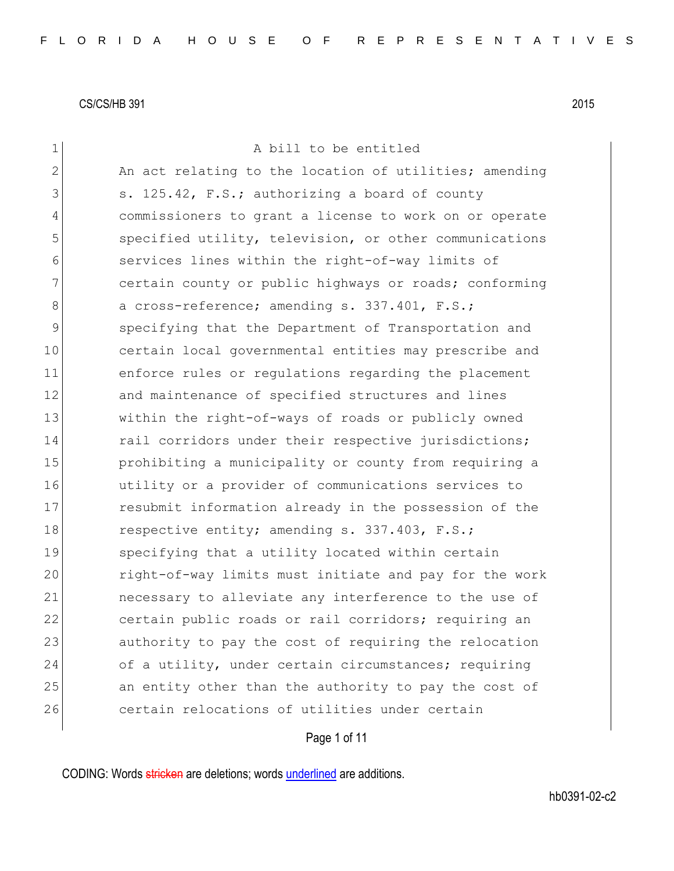| $\mathbf 1$   | A bill to be entitled                                  |
|---------------|--------------------------------------------------------|
| 2             | An act relating to the location of utilities; amending |
| 3             | s. 125.42, F.S.; authorizing a board of county         |
| 4             | commissioners to grant a license to work on or operate |
| 5             | specified utility, television, or other communications |
| 6             | services lines within the right-of-way limits of       |
| 7             | certain county or public highways or roads; conforming |
| 8             | a cross-reference; amending s. 337.401, F.S.;          |
| $\mathcal{G}$ | specifying that the Department of Transportation and   |
| 10            | certain local governmental entities may prescribe and  |
| 11            | enforce rules or regulations regarding the placement   |
| 12            | and maintenance of specified structures and lines      |
| 13            | within the right-of-ways of roads or publicly owned    |
| 14            | rail corridors under their respective jurisdictions;   |
| 15            | prohibiting a municipality or county from requiring a  |
| 16            | utility or a provider of communications services to    |
| 17            | resubmit information already in the possession of the  |
| 18            | respective entity; amending s. 337.403, F.S.;          |
| 19            | specifying that a utility located within certain       |
| 20            | right-of-way limits must initiate and pay for the work |
| 21            | necessary to alleviate any interference to the use of  |
| 22            | certain public roads or rail corridors; requiring an   |
| 23            | authority to pay the cost of requiring the relocation  |
| 24            | of a utility, under certain circumstances; requiring   |
| 25            | an entity other than the authority to pay the cost of  |
| 26            | certain relocations of utilities under certain         |
|               |                                                        |

Page 1 of 11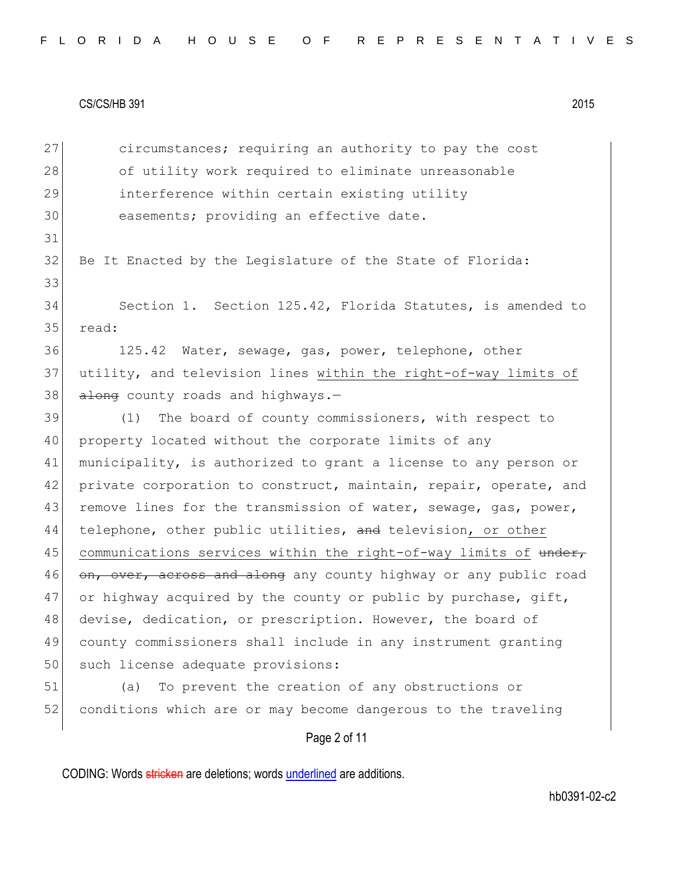27 circumstances; requiring an authority to pay the cost 28 of utility work required to eliminate unreasonable 29 interference within certain existing utility 30 easements; providing an effective date. 31 32 Be It Enacted by the Legislature of the State of Florida: 33 34 Section 1. Section 125.42, Florida Statutes, is amended to 35 read: 36 125.42 Water, sewage, gas, power, telephone, other 37 utility, and television lines within the right-of-way limits of  $38$  along county roads and highways.-39 (1) The board of county commissioners, with respect to 40 property located without the corporate limits of any 41 municipality, is authorized to grant a license to any person or 42 private corporation to construct, maintain, repair, operate, and 43 remove lines for the transmission of water, sewage, gas, power, 44 telephone, other public utilities, and television, or other 45 communications services within the right-of-way limits of under, 46 on, over, across and along any county highway or any public road 47 or highway acquired by the county or public by purchase,  $q$ ift, 48 devise, dedication, or prescription. However, the board of 49 county commissioners shall include in any instrument granting 50 such license adequate provisions: 51 (a) To prevent the creation of any obstructions or 52 conditions which are or may become dangerous to the traveling

Page 2 of 11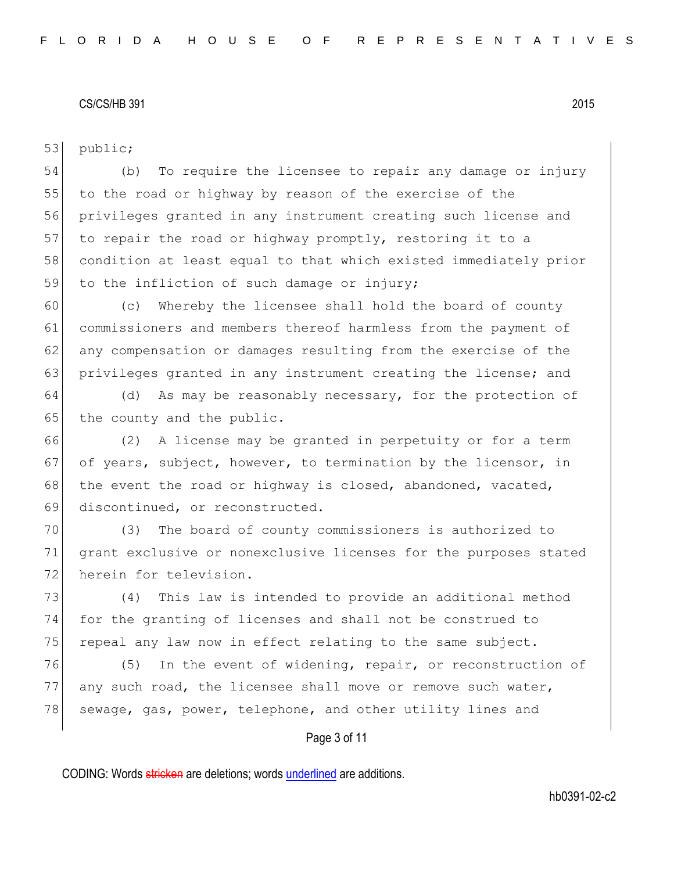53 public;

54 (b) To require the licensee to repair any damage or injury 55 to the road or highway by reason of the exercise of the 56 privileges granted in any instrument creating such license and 57 to repair the road or highway promptly, restoring it to a 58 condition at least equal to that which existed immediately prior 59 to the infliction of such damage or injury;

60 (c) Whereby the licensee shall hold the board of county 61 commissioners and members thereof harmless from the payment of 62 any compensation or damages resulting from the exercise of the 63 privileges granted in any instrument creating the license; and

64 (d) As may be reasonably necessary, for the protection of 65 the county and the public.

66 (2) A license may be granted in perpetuity or for a term 67 of years, subject, however, to termination by the licensor, in 68 the event the road or highway is closed, abandoned, vacated, 69 discontinued, or reconstructed.

70 (3) The board of county commissioners is authorized to 71 grant exclusive or nonexclusive licenses for the purposes stated 72 herein for television.

73 (4) This law is intended to provide an additional method 74 for the granting of licenses and shall not be construed to 75 repeal any law now in effect relating to the same subject.

76 (5) In the event of widening, repair, or reconstruction of 77 any such road, the licensee shall move or remove such water, 78 sewage, gas, power, telephone, and other utility lines and

Page 3 of 11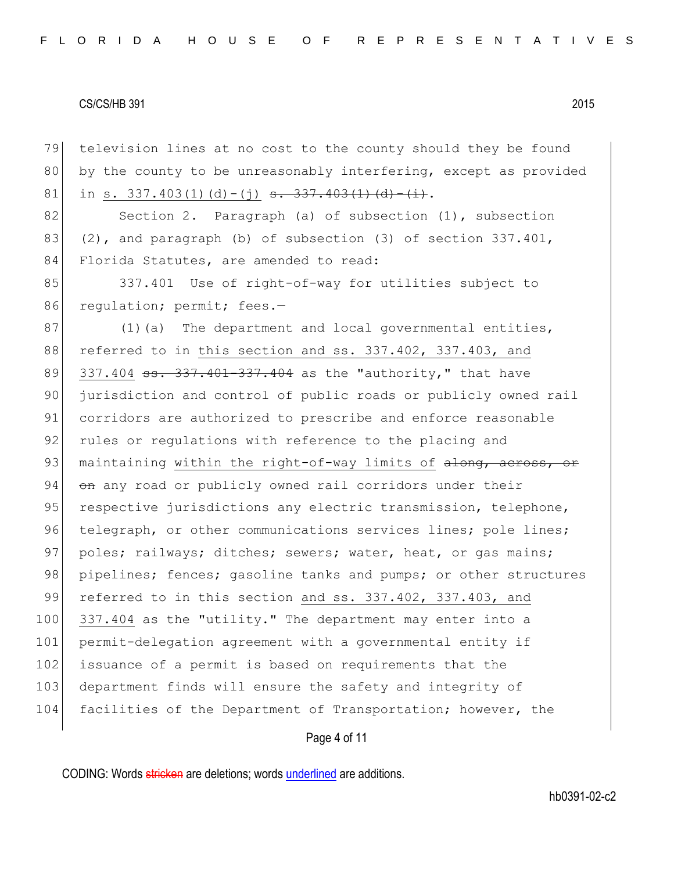79 television lines at no cost to the county should they be found 80 by the county to be unreasonably interfering, except as provided 81 in s. 337.403(1)(d)-(j) <del>s. 337.403(1)(d)-(i)</del>.

82 Section 2. Paragraph (a) of subsection (1), subsection 83  $(2)$ , and paragraph (b) of subsection (3) of section 337.401, 84 Florida Statutes, are amended to read:

85 337.401 Use of right-of-way for utilities subject to 86 regulation; permit; fees.-

87 (1)(a) The department and local governmental entities, 88 referred to in this section and ss. 337.402, 337.403, and 89 337.404 ss. 337.401-337.404 as the "authority," that have 90 jurisdiction and control of public roads or publicly owned rail 91 corridors are authorized to prescribe and enforce reasonable 92 rules or regulations with reference to the placing and 93 maintaining within the right-of-way limits of  $\frac{1}{\text{ch}(\alpha)}$  across, or 94 on any road or publicly owned rail corridors under their 95 respective jurisdictions any electric transmission, telephone, 96 telegraph, or other communications services lines; pole lines; 97 poles; railways; ditches; sewers; water, heat, or gas mains; 98 pipelines; fences; gasoline tanks and pumps; or other structures 99 referred to in this section and ss. 337.402, 337.403, and 100 337.404 as the "utility." The department may enter into a 101 permit-delegation agreement with a governmental entity if 102 issuance of a permit is based on requirements that the 103 department finds will ensure the safety and integrity of 104 facilities of the Department of Transportation; however, the

# Page 4 of 11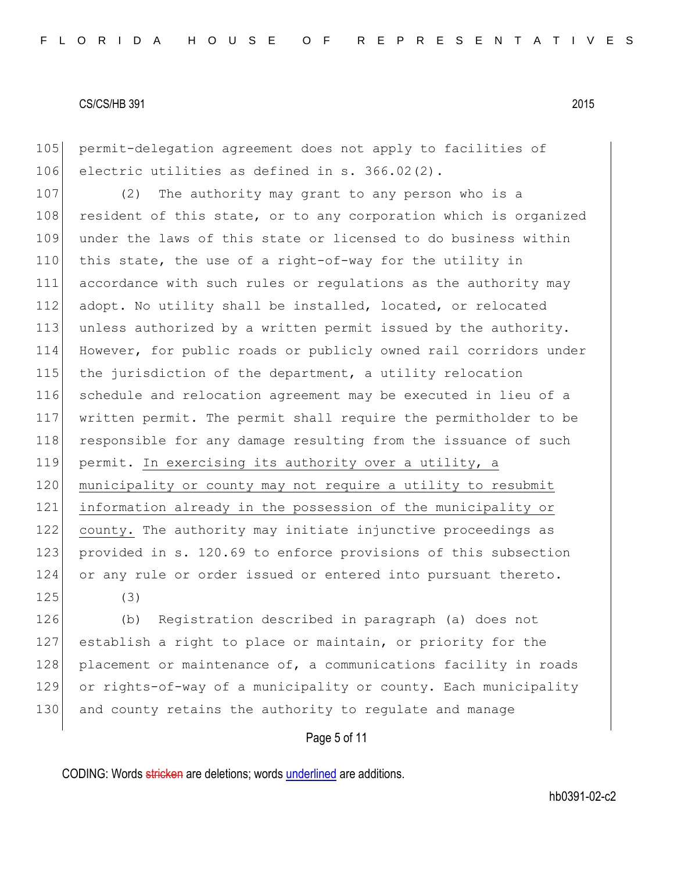105 permit-delegation agreement does not apply to facilities of 106 electric utilities as defined in s. 366.02(2).

107 (2) The authority may grant to any person who is a 108 resident of this state, or to any corporation which is organized 109 under the laws of this state or licensed to do business within 110 this state, the use of a right-of-way for the utility in 111 accordance with such rules or regulations as the authority may 112 adopt. No utility shall be installed, located, or relocated 113 unless authorized by a written permit issued by the authority. 114 However, for public roads or publicly owned rail corridors under 115 the jurisdiction of the department, a utility relocation 116 schedule and relocation agreement may be executed in lieu of a 117 written permit. The permit shall require the permitholder to be 118 responsible for any damage resulting from the issuance of such 119 permit. In exercising its authority over a utility, a 120 municipality or county may not require a utility to resubmit 121 information already in the possession of the municipality or 122 county. The authority may initiate injunctive proceedings as 123 provided in s. 120.69 to enforce provisions of this subsection 124 or any rule or order issued or entered into pursuant thereto.  $125$  (3)

126 (b) Registration described in paragraph (a) does not 127 establish a right to place or maintain, or priority for the 128 placement or maintenance of, a communications facility in roads 129 or rights-of-way of a municipality or county. Each municipality 130 and county retains the authority to regulate and manage

# Page 5 of 11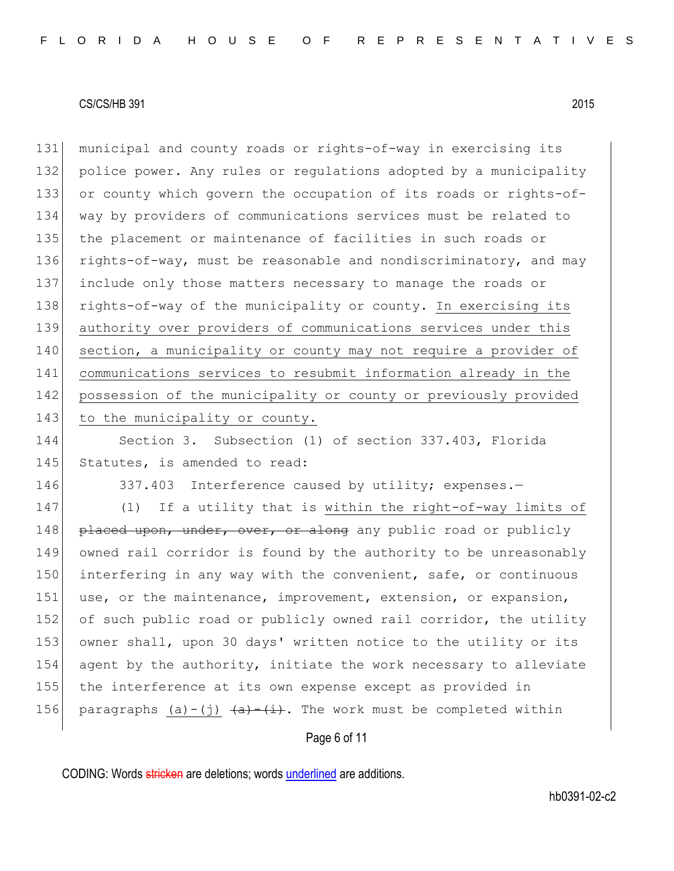131 municipal and county roads or rights-of-way in exercising its 132 police power. Any rules or regulations adopted by a municipality 133 or county which govern the occupation of its roads or rights-of-134 way by providers of communications services must be related to 135 the placement or maintenance of facilities in such roads or 136 rights-of-way, must be reasonable and nondiscriminatory, and may 137 include only those matters necessary to manage the roads or 138 rights-of-way of the municipality or county. In exercising its 139 authority over providers of communications services under this 140 section, a municipality or county may not require a provider of 141 communications services to resubmit information already in the 142 possession of the municipality or county or previously provided 143 to the municipality or county.

144 Section 3. Subsection (1) of section 337.403, Florida 145 Statutes, is amended to read:

146 337.403 Interference caused by utility; expenses.-

147 (1) If a utility that is within the right-of-way limits of 148 placed upon, under, over, or along any public road or publicly 149 owned rail corridor is found by the authority to be unreasonably 150 interfering in any way with the convenient, safe, or continuous 151 use, or the maintenance, improvement, extension, or expansion, 152 of such public road or publicly owned rail corridor, the utility 153 owner shall, upon 30 days' written notice to the utility or its 154 agent by the authority, initiate the work necessary to alleviate 155 the interference at its own expense except as provided in 156 paragraphs (a)-(j)  $\frac{a}{a}$  (i). The work must be completed within

Page 6 of 11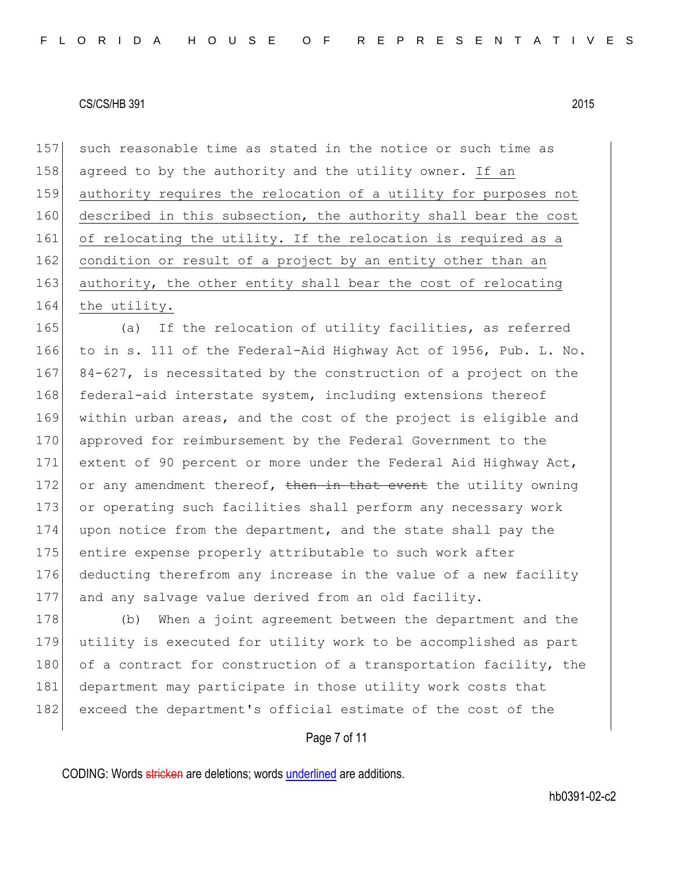157 such reasonable time as stated in the notice or such time as 158 agreed to by the authority and the utility owner. If an 159 authority requires the relocation of a utility for purposes not 160 described in this subsection, the authority shall bear the cost 161 of relocating the utility. If the relocation is required as a 162 condition or result of a project by an entity other than an 163 authority, the other entity shall bear the cost of relocating 164 the utility.

 (a) If the relocation of utility facilities, as referred to in s. 111 of the Federal-Aid Highway Act of 1956, Pub. L. No. 167 84-627, is necessitated by the construction of a project on the 168 federal-aid interstate system, including extensions thereof within urban areas, and the cost of the project is eligible and 170 approved for reimbursement by the Federal Government to the extent of 90 percent or more under the Federal Aid Highway Act, 172 or any amendment thereof, then in that event the utility owning 173 or operating such facilities shall perform any necessary work upon notice from the department, and the state shall pay the entire expense properly attributable to such work after deducting therefrom any increase in the value of a new facility and any salvage value derived from an old facility.

178 (b) When a joint agreement between the department and the 179 utility is executed for utility work to be accomplished as part 180 of a contract for construction of a transportation facility, the 181 department may participate in those utility work costs that 182 exceed the department's official estimate of the cost of the

Page 7 of 11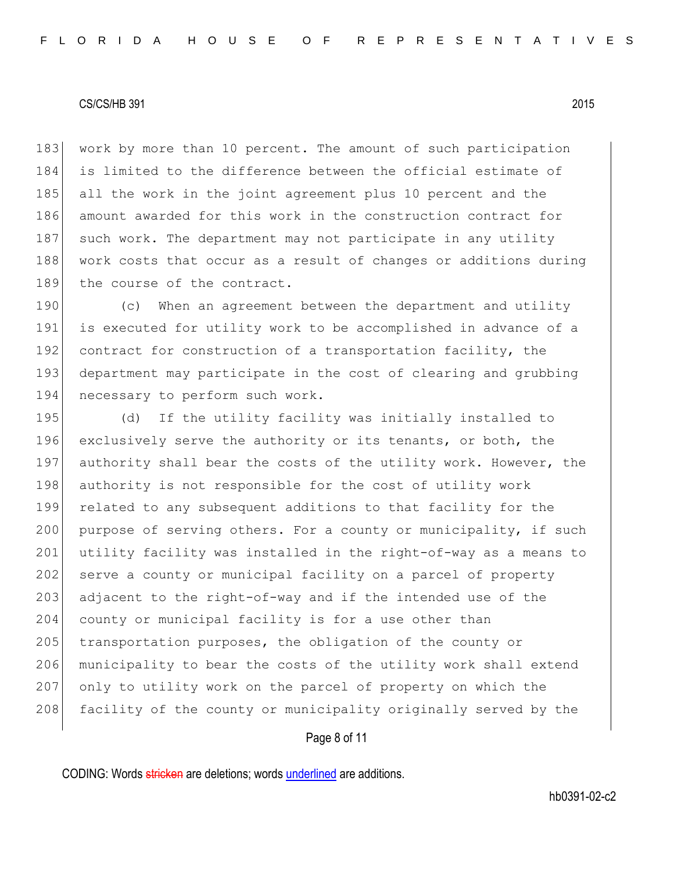183 work by more than 10 percent. The amount of such participation 184 is limited to the difference between the official estimate of 185 all the work in the joint agreement plus 10 percent and the 186 amount awarded for this work in the construction contract for 187 such work. The department may not participate in any utility 188 work costs that occur as a result of changes or additions during 189 the course of the contract.

190 (c) When an agreement between the department and utility 191 is executed for utility work to be accomplished in advance of a 192 contract for construction of a transportation facility, the 193 department may participate in the cost of clearing and grubbing 194 necessary to perform such work.

195 (d) If the utility facility was initially installed to 196 exclusively serve the authority or its tenants, or both, the 197 authority shall bear the costs of the utility work. However, the 198 authority is not responsible for the cost of utility work 199 related to any subsequent additions to that facility for the 200 purpose of serving others. For a county or municipality, if such 201 utility facility was installed in the right-of-way as a means to 202 serve a county or municipal facility on a parcel of property 203 adjacent to the right-of-way and if the intended use of the 204 county or municipal facility is for a use other than 205 transportation purposes, the obligation of the county or 206 municipality to bear the costs of the utility work shall extend 207 only to utility work on the parcel of property on which the 208 facility of the county or municipality originally served by the

# Page 8 of 11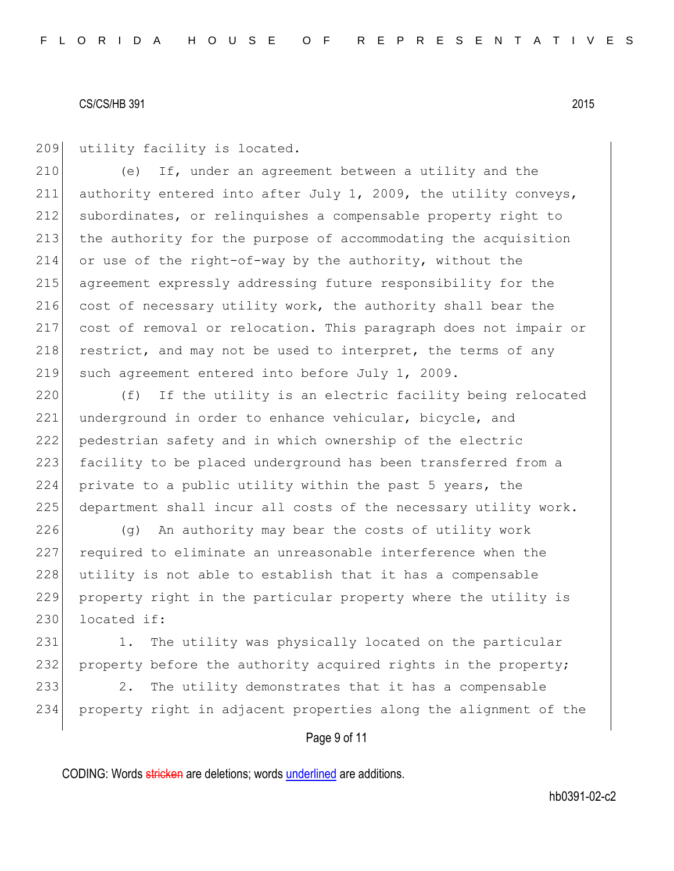209 utility facility is located.

210 (e) If, under an agreement between a utility and the 211 authority entered into after July 1, 2009, the utility conveys, 212 subordinates, or relinquishes a compensable property right to 213 the authority for the purpose of accommodating the acquisition 214 or use of the right-of-way by the authority, without the 215 agreement expressly addressing future responsibility for the 216 cost of necessary utility work, the authority shall bear the 217 cost of removal or relocation. This paragraph does not impair or 218 restrict, and may not be used to interpret, the terms of any 219 such agreement entered into before July 1, 2009.

220 (f) If the utility is an electric facility being relocated 221 underground in order to enhance vehicular, bicycle, and 222 pedestrian safety and in which ownership of the electric 223 facility to be placed underground has been transferred from a 224 private to a public utility within the past 5 years, the 225 department shall incur all costs of the necessary utility work.

 (g) An authority may bear the costs of utility work required to eliminate an unreasonable interference when the 228 utility is not able to establish that it has a compensable property right in the particular property where the utility is located if:

231 1. The utility was physically located on the particular 232 property before the authority acquired rights in the property; 233 2. The utility demonstrates that it has a compensable 234 property right in adjacent properties along the alignment of the

Page 9 of 11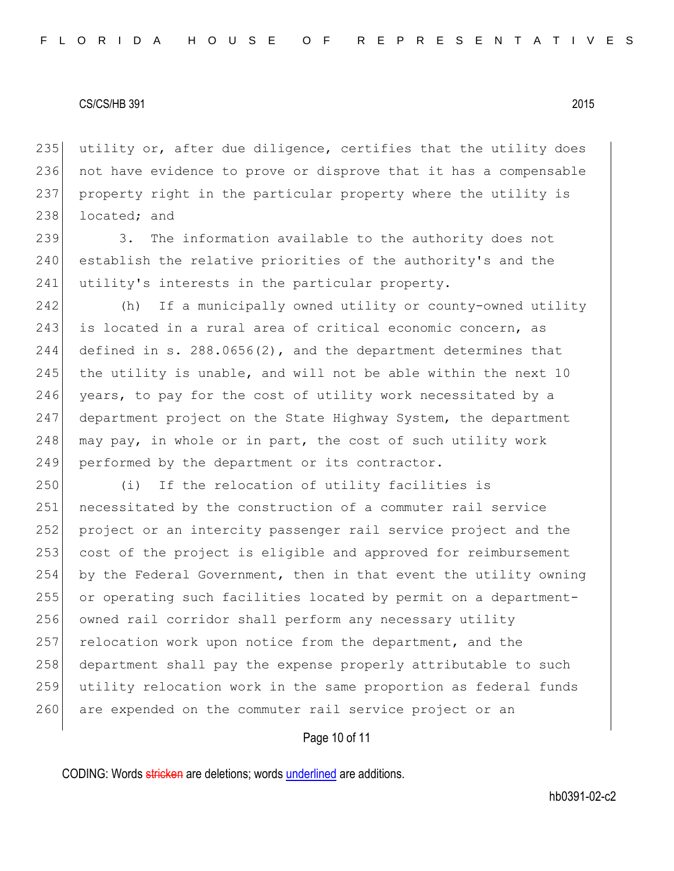235 utility or, after due diligence, certifies that the utility does 236 not have evidence to prove or disprove that it has a compensable 237 property right in the particular property where the utility is 238 located; and

239 3. The information available to the authority does not 240 establish the relative priorities of the authority's and the 241 utility's interests in the particular property.

242 (h) If a municipally owned utility or county-owned utility 243 is located in a rural area of critical economic concern, as 244 defined in s. 288.0656(2), and the department determines that 245 the utility is unable, and will not be able within the next  $10$ 246 years, to pay for the cost of utility work necessitated by a 247 department project on the State Highway System, the department 248 may pay, in whole or in part, the cost of such utility work 249 performed by the department or its contractor.

250 (i) If the relocation of utility facilities is 251 necessitated by the construction of a commuter rail service 252 project or an intercity passenger rail service project and the 253 cost of the project is eligible and approved for reimbursement 254 by the Federal Government, then in that event the utility owning 255 or operating such facilities located by permit on a department-256 owned rail corridor shall perform any necessary utility 257 relocation work upon notice from the department, and the 258 department shall pay the expense properly attributable to such 259 utility relocation work in the same proportion as federal funds 260 are expended on the commuter rail service project or an

# Page 10 of 11